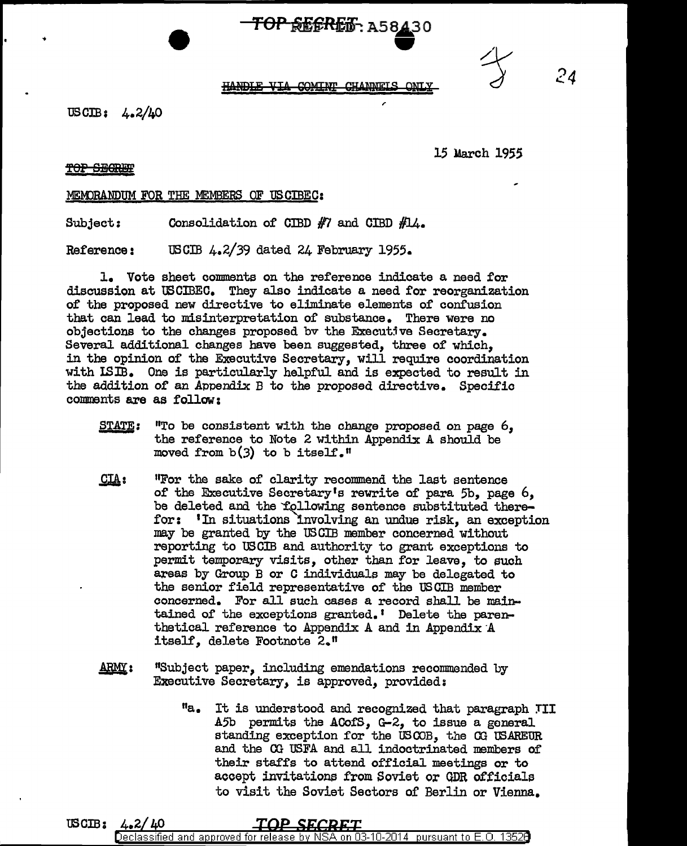# $\overline{r}$  **TOP REFRES**: A58430



*24* 

### HANDLE VIA COMINT CHANNELS ONLY

USCIB: 4.2/40

15 March 1955

**TOP SEGREE** 

MEMORANDUM FOR THE MEMBERS OF USCIBEC:

Subject: Consolidation of CIBD  $#7$  and CIBD  $#14$ .

Reference: USCIB 4.2/39 dated 24 February 1955.

1. Vote sheet comments on the reference indicate a need for discussion at USCIBEC. They also indicate a need for reorganization of the proposed new directive to eliminate elements of confusion that can lead to misinterpretation of substance. There were no objections to the changes proposed by the Executive Secretary. Several additional changes have been suggested, three of which, in the opinion of the Executive Secretary, will require coordination with ISIB. One is particularly helpful and is expected to result in the addition of an Appendix B to the proposed directive. Specific comments are as follow:

- STATE: "To be consistent with the change proposed on page 6, the reference to Note 2 within Appendix A should be moved from  $b(3)$  to b itself."
- $CLA:$ 11For the sake of clarity recommend the last sentence of the Executive Secretary's rewrite of para 5b, page  $6$ , be deleted and the 'following sentence substituted therefor: 1In situations 'involving an undue risk, an exception may be granted by the US CIB member concerned without reporting to US CIB and authority to grant exceptions to permit temporary visits, other than for leave, to such areas by Group B or C individuals may be delegated to the senior field representative of the USCIB member concerned. For all such cases a record shall be maintained of the exceptions granted. I Delete the parenthetical reference to Appendix A and in Appendix A itself, delete Footnote 2."
- $ARMY:$ "Subject paper, including emendations recommended by Executive Secretary, is approved, provided:
	- "a. It is understood and recognized that paragraph TII A5b permits the ACofS,  $G-2$ , to issue a general standing exception for the USCOB, the CG USAREUR and the 00 USFA and all indoctrinated members of their staffs to attend official meetings or to accept invitations from Soviet or GDR officials to visit the Soviet Sectors of Berlin or Vienna.

USCIB: 4.2/40 Declassified and approved for release by NS A on 03-10-2014 pursuant to E.O. 13526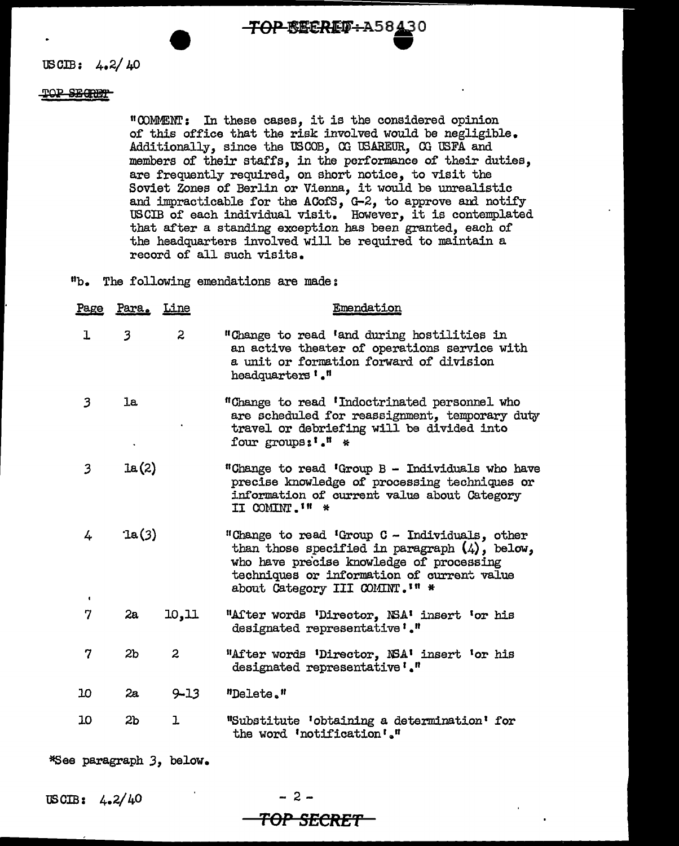**TOP-BECRET-A58430** 

USCIB:  $4.2/40$ 

### POP SECRET

"COMENT: In these cases, it is the considered opinion of this office that the risk involved would be negligible. Additionally, since the USCOB, CG 'OSAREUR, CG USFA and members of their staffs, in the performance of their duties, are frequently required, on short notice, to visit the Soviet Zones of Berlin or Vienna, it would be unrealistic and impracticable for the ACofS, G-2, to approve and notify USCIB of each individual visit. However, it is contemplated that after a standing exception has been granted, each of the headquarters involved will be required to maintain a record of all such visits.

19b. The following emendations are made:

| Page                | Para. Line       |                | Emendation                                                                                                                                                                                                                     |
|---------------------|------------------|----------------|--------------------------------------------------------------------------------------------------------------------------------------------------------------------------------------------------------------------------------|
| ı                   | $\overline{3}$   | $\overline{2}$ | "Change to read 'and during hostilities in<br>an active theater of operations service with<br>a unit or formation forward of division<br>headquarters '."                                                                      |
| 3                   | 1a               |                | "Change to read 'Indoctrinated personnel who<br>are scheduled for reassignment, temporary duty<br>travel or debriefing will be divided into<br>four groups: I *                                                                |
| 3                   | 1a(2)            |                | "Change to read 'Group B - Individuals who have<br>precise knowledge of processing techniques or<br>information of current value about Category<br>II COMINT. I'' *                                                            |
| 4<br>$\blacksquare$ | $\mathcal{L}(3)$ |                | "Change to read 'Group C - Individuals, other<br>than those specified in paragraph $(4)$ , below,<br>who have precise knowledge of processing<br>techniques or information of current value<br>about Category III COMINT. I" * |
| 7                   | 2a               | 10, 11         | "After words 'Director, NSA' insert 'or his<br>designated representative'."                                                                                                                                                    |
| 7                   | 2 <sub>b</sub>   | $\mathbf{2}$   | "After words 'Director, NSA' insert 'or his<br>designated representative '."                                                                                                                                                   |
| 10                  | 2a               | $9 - 13$       | "Delete."                                                                                                                                                                                                                      |
| 10                  | 2 <sub>b</sub>   | ı              | "Substitute 'obtaining a determination' for<br>the word 'notification'."                                                                                                                                                       |

\*See paragraph *3,* below.

USOIB: 4.2/40

- 2- **TOP SECRET**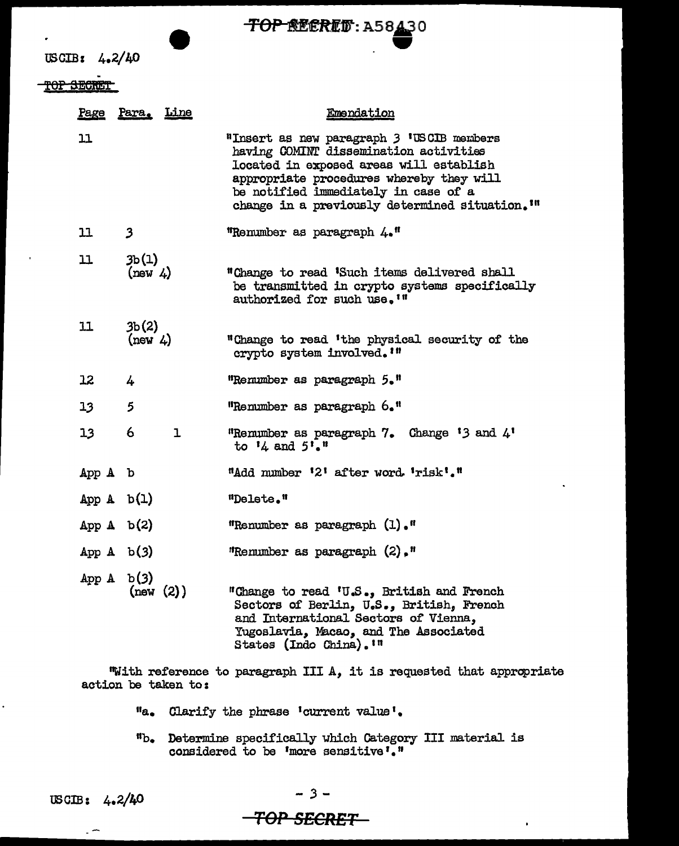

WGIB: 4.2/40

TOP SECRET

|                 | Page Para. Line   | Emendation                                                                                                                                                                                                                                                                       |
|-----------------|-------------------|----------------------------------------------------------------------------------------------------------------------------------------------------------------------------------------------------------------------------------------------------------------------------------|
| 11              |                   | "Insert as new paragraph 3 'USCIB members<br>having COMINT dissemination activities<br>located in exposed areas will establish<br>appropriate procedures whereby they will<br>be notified immediately in case of a<br>change in a previously determined situation. <sup>1"</sup> |
| 11              | $\mathbf{3}$      | "Remumber as paragraph 4."                                                                                                                                                                                                                                                       |
| 11              | 3b(1)<br>(new 4)  | "Change to read 'Such items delivered shall<br>be transmitted in crypto systems specifically<br>authorized for such use. <sup>1"</sup>                                                                                                                                           |
| 11              | 3b(2)<br>(new 4)  | "Change to read 'the physical security of the<br>crypto system involved. '"                                                                                                                                                                                                      |
| 12              | 4                 | "Remumber as paragraph 5."                                                                                                                                                                                                                                                       |
| 13              | 5                 | "Renumber as paragraph 6."                                                                                                                                                                                                                                                       |
| 13 <sub>1</sub> | 6<br>$\mathbf{I}$ | "Remumber as paragraph 7. Change $'3$ and $4'$<br>to $14$ and $5!\cdot$ .                                                                                                                                                                                                        |
| App A b         |                   | "Add number '2' after word 'risk'."                                                                                                                                                                                                                                              |
| App $A$ b(1)    |                   | "Delete."                                                                                                                                                                                                                                                                        |
| App $A$ b(2)    |                   | "Renumber as paragraph (1)."                                                                                                                                                                                                                                                     |
| App $A$ b(3)    |                   | "Renumber as paragraph $(2)$ ,"                                                                                                                                                                                                                                                  |
| App $A$ b(3)    | (new (2))         | "Change to read 'U.S., British and French<br>Sectors of Berlin, U.S., British, French<br>and International Sectors of Vienna,<br>Yugoslavia, Macao, and The Associated<br>States (Indo China). In                                                                                |

"With reference to paragraph III A, it is requested that appropriate action be taken to:

- "a. Clarify the phrase 'current value'.
- "b. Determine specifically which Category III material is considered to be 'more sensitive'."

 $\overline{a}$ 

-:3-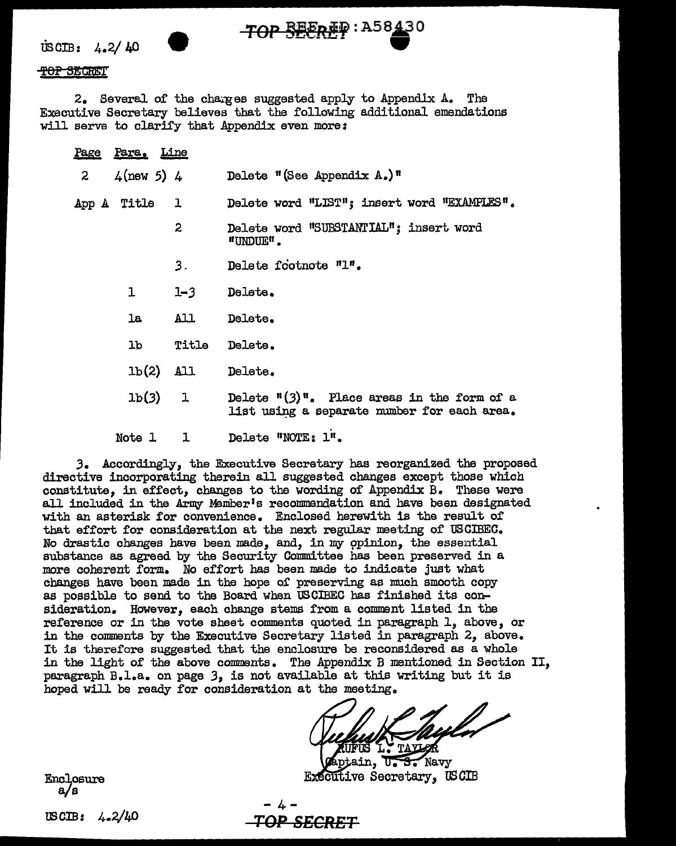$\text{USCIB:}$  4.2/40

### <del>TOP SECRE</del>T

2. Several of the charges suggested apply to Appendix A. The Executive Secretary believes that the following additional emendations will serve to clarify that Appendix even more:

TOP SEEREP: A58430

|                | Page Para. Line |              |                                                                                                           |
|----------------|-----------------|--------------|-----------------------------------------------------------------------------------------------------------|
| $\overline{z}$ | $4$ (new 5) $4$ |              | Delete "(See Appendix $A_{\bullet}$ )"                                                                    |
|                | App A Title 1   |              | Delete word "LIST"; insert word "EXAMPLES".                                                               |
|                |                 | $\mathbf{2}$ | Delete word "SUBSTANTIAL"; insert word<br>"UNDUE".                                                        |
|                |                 | 3.           | Delete footnote "1".                                                                                      |
|                | $\mathbf{1}$    | $1 - 3$      | Delete.                                                                                                   |
|                |                 | la All       | Delete.                                                                                                   |
|                |                 | lb Title     | Delete.                                                                                                   |
|                |                 | $1b(2)$ All  | Delete.                                                                                                   |
|                |                 | 1b(3) 1      | Delete $\frac{\pi(3)}{\pi}$ . Place areas in the form of a<br>list using a separate number for each area. |
|                | Note 1          | ı            | Delete "NOTE: 1".                                                                                         |

3. Accordingly, the Executive Secretary has reorganized the proposed directive incorporating therein all suggested changes except those which constitute. in effect, changes to the wording of Appendix B. These were all included in the Army Member's recommendation and have been designated with an asterisk for convenience. Enclosed herewith is the result of that effort for consideration at the next regular meeting of USCIBEC. No drastic changes have been made, and, in my opinion, the essential substance as agreed by the Security Committee has been preserved in a more coherent form. No effort has been made to indicate just what changes have been made in the hope of preserving as much smooth copy as possible to send to the Board when USCIBEC has finished its consideration. However, each change stems from a comment listed in the reference or in the vote sheet comments quoted in paragraph 1, above, or in the comments by the Executive Secretary listed in paragraph 2, above. It is therefore suggested that the enclosure be reconsidered as a whole in the light of the above comments. The Appendix B mentioned in Section II, paragraph B.l.a. on page 3, is not available at this writing but it is hoped will be ready for consideration at the meeting.

Navy **Executive Secretary, USCIB** 

Enclosure  $a/s$ 

USCIB:  $4.2/40$ 

"<del>OP SECRET</del>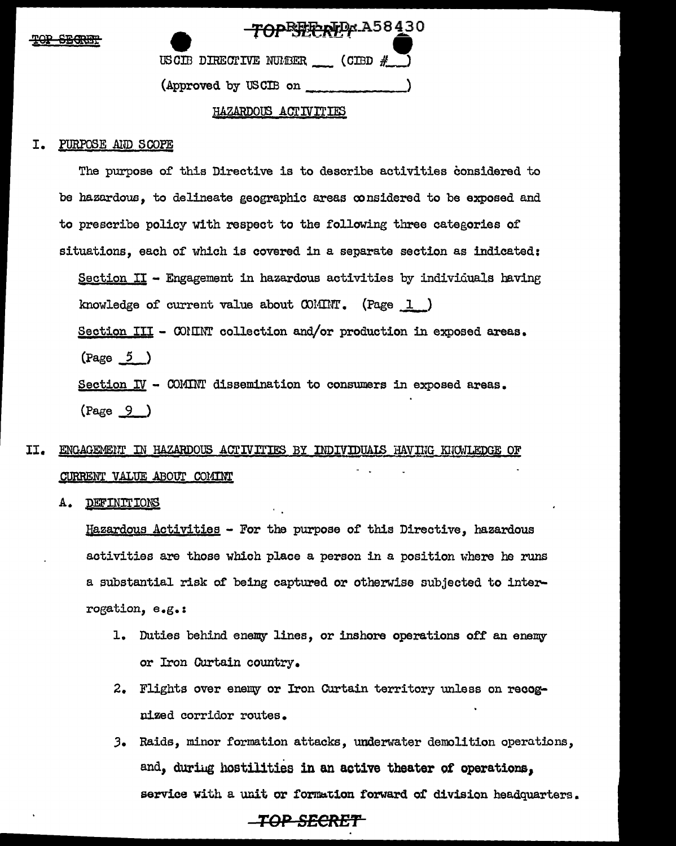| סמיו | <b>CRADIM</b>   |
|------|-----------------|
| $-2$ | <u>JEVELI L</u> |

| TOPETERTP A58430                   |  |
|------------------------------------|--|
| USCIB DIRECTIVE NUMBER (CIBD $#$ ) |  |
| (Approved by USCIB on              |  |

### HAZARDOUS ACTIVITIES

### PURPOSE AND SCOPE I.

The purpose of this Directive is to describe activities considered to be hazardous, to delineate geographic areas considered to be exposed and to prescribe policy with respect to the following three categories of situations, each of which is covered in a separate section as indicated: Section II - Engagement in hazardous activities by individuals having knowledge of current value about  $\text{CO}$ IIIIT. (Page 1) Section III - COMINT collection and/or production in exposed areas.  $\frac{5}{2}$ Section  $I\!V$  - COMINT dissemination to consumers in exposed areas.  $(Page \ 9)$ 

### II. ENGAGEMENT IN HAZARDOUS ACTIVITIES BY INDIVIDUALS HAVING KNOWLEDGE OF CURRENT VALUE ABOUT COMINT

Α. DEFINITIONS

> Hazardous Activities - For the purpose of this Directive, hazardous activities are those which place a person in a position where he runs a substantial risk of being captured or otherwise subjected to interrogation, e.g.:

- 1. Duties behind enemy lines, or inshore operations off an enemy or Iron Curtain country.
- 2. Flights over enemy or Iron Curtain territory unless on recognized corridor routes.
- 3. Raids, minor formation attacks, underwater demolition operations, and, during hostilities in an active theater of operations, service with a unit or formation forward of division headquarters.

### \_TOP\_SECRET\_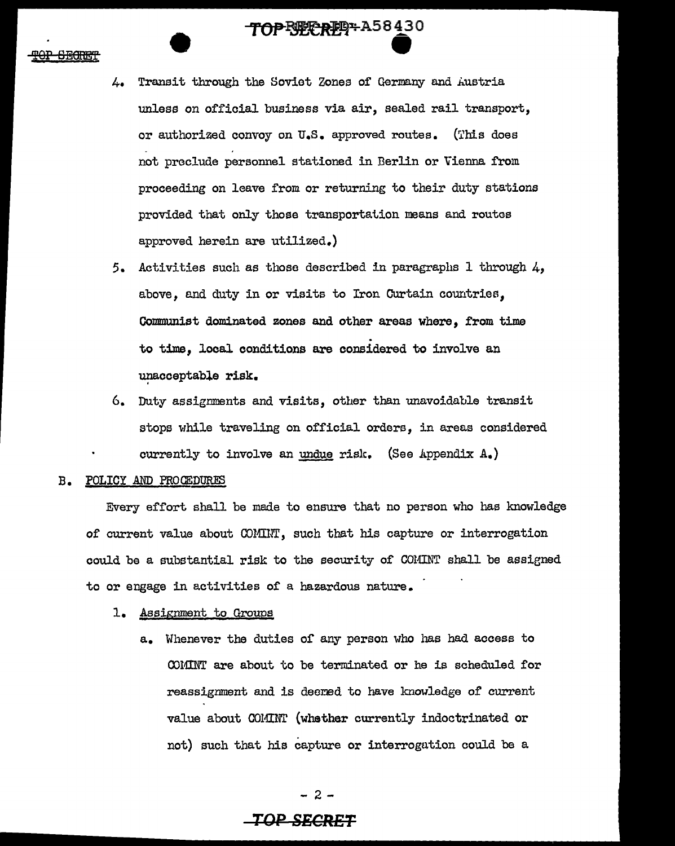- 4. Transit through the Soviet Zones of Germany and Austria unless on official business via air, sealed rail transport, or authorized convoy on U.S. approved routes. (This does not preclude personnel stationed in Berlin or Vienna from proceeding on leave from or returning to their duty stations provided that only those transportation means and routes approved herein are utilized.)
- 5. Activities such as those described in paragraphs 1 through 4, above, and duty in or visits to Iron Curtain countries, Communist dominated zones and other areas where, from time to time, local conditions are considered to involve an unacceptable risk.
- 6. Duty assignments and visits, other than unavoidable transit stops while traveling on official orders, in areas considered currently to involve an undue risk. (See Appendix  $A_{\bullet}$ )

### B. POLICY AND PROCEDURES

Every effort shall be made to ensure that no person who has knowledge of current value about COlUl", such that his capture or interrogation could be a substantial risk to the security of COMINT shall be assigned to or engage in activities of a hazardous nature.

### 1. Assignment to Groups

a. Whenever the duties of any person who has had access to COMINT are about to be terminated or he is scheduled for reassignment and is deemed to have knowledge of current value about COMINT (whether currently indoctrinated or not) such that his capture or interrogation could be a

- 2-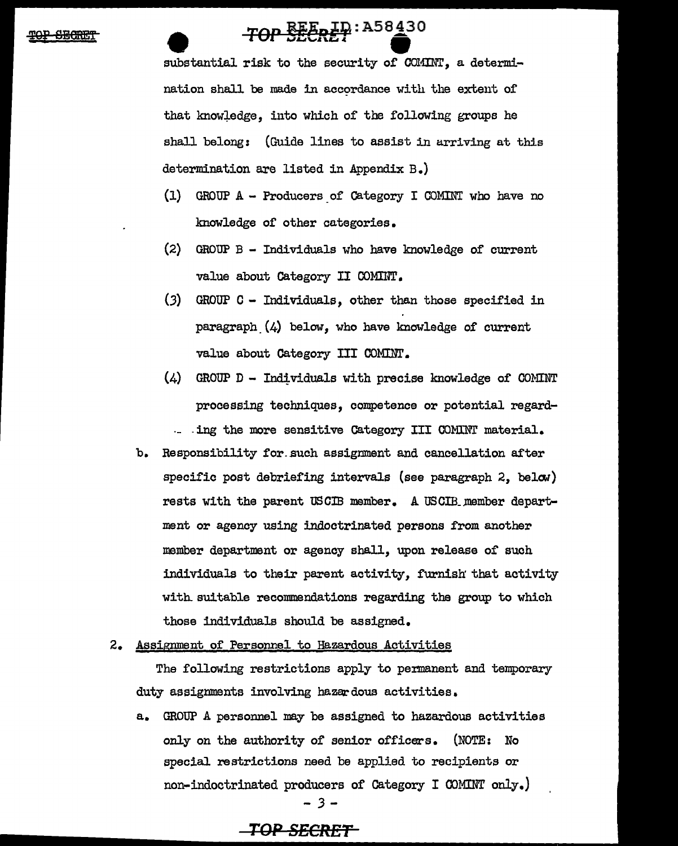## TOP SEERET A58430

substantial risk to the security of COMINT, a determination shall be made in accordance with the extent of that knowledge, into which of the following groups he shall belong: (Guide lines to assist in arriving at this determination are listed in Appendix B.)

- (1) GROUP A Producers of Category I COMINT who have no knowledge of other categories.
- (2) GROUP B Individuals who have knowledge of current value about Category II COMIIIT.
- (3) GROUP C Individuals, other than those specified in paragraph  $(4)$  below, who have knowledge of current value about Category III COMINT.
- $(4)$  GROUP D Individuals with precise knowledge of COMINT processing techniques, competence or potential regard- - ing the more sensitive Category III COMINT material.
- b. Responsibility for such assignment and cancellation after specific post debriefing intervals (see paragraph  $2$ , below) rests with the parent USCIB member. A USCIB member department or agency using indoctrinated persons from another member department or agency shall, upon release of such individuals to their parent activity, furnish: that activity with suitable recommendations regarding the group to which those individuals should be assigned.
- 2. Assignment of Personnel to Hazardous Activities

The following restrictions apply to permanent and temporary duty assignments involving hazardous activities.

a. GROUP A personnel may be assigned to hazardous activities only on the authority of senior officers. (NOTE: No special restrictions need be applied to recipients or non-indoctrinated producers of Category I OONINT only.} *-3-*

### **TOP S£CRET**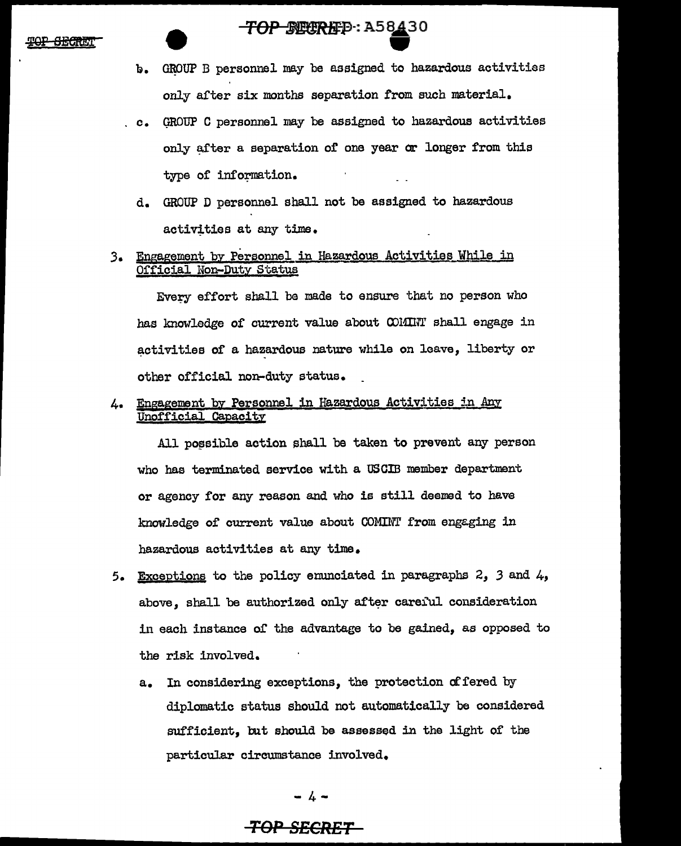### TOP SECREP: A58430

- b. GROUP B personnel may be assigned to hazardous activities only after six months separation from such material.
- c. GROUP C personnel may be assigned to hazardous activities only after a separation of one year or longer from this type of information.
- d. GROUP D personnel shall not be assigned to hazardous activities at any time.
- 3. Engagement by Personnel in Hazardous Activities While in Official Non-Duty Status

Evecy effort shall be made to ensure that no person who has knowledge of current value about COMINT shall engage in activities of a hazardous nature while on leave, liberty or other official non-duty status.

4. Engagement by Personnel in Hazardous Activities in Any Unofficial Capacity

All possible action shall be taken to prevent any person who has terminated service with a OSCIB member department or agency for any reason and who is still deemed to have knowledge of current value about COMINT from engaging in hazardous activities at any time.

- 5. Exceptions to the policy enunciated in paragraphs  $2, 3$  and  $4,$ above. shall be authorized only after careful consideration in each instance of the advantage to be gained, as opposed to the risk involved.
	- a. In considering exceptions, the protection of fered by diplomatic status should not automatically be considered sufficient, but should be assessed in the light of' the particular circumstance involved.

 $- 4 -$ 

### **TOP 8£CR£T**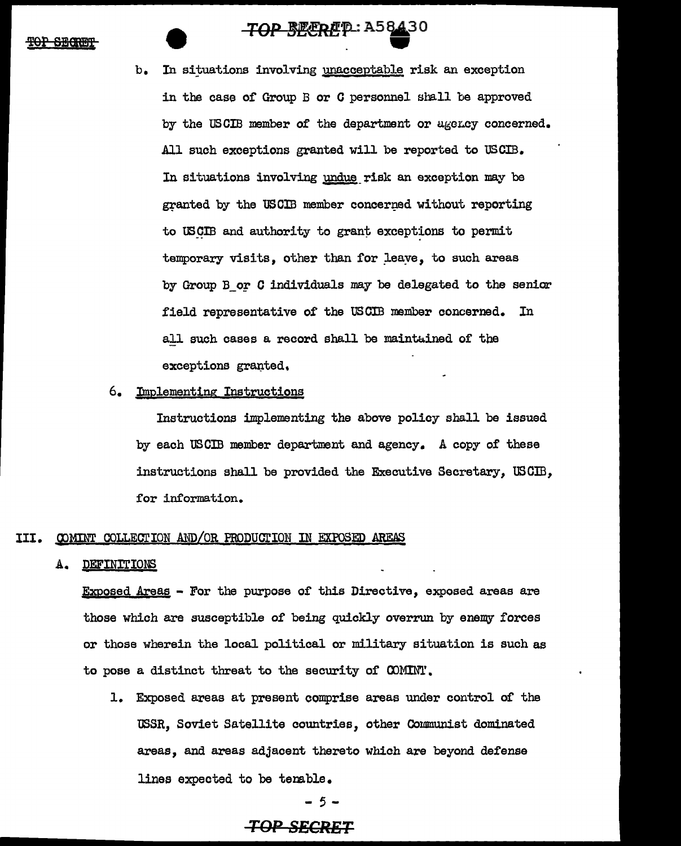### <del>TOP BECRE</del>P: A58430

TOP BEERET : A5843 In situations involving unacceptable risk an exception in the case of Group B or *C* personnel shall be approved by the USCIB member of the department or agency concerned. All such exceptions granted will be reported to USCIB. In situations involving undue risk an exception may be granted by the USCIB member concerned without reporting to USCIB and authority to grant exceptions to permit temporary visits, other than for leave, to such areas by Group B or  $C$  individuals may be delegated to the senior field representative of the USCIB member concerned. In all such cases a record shall be maintained of the exceptions granted.

### 6. Implementing Instructions

Instructions implementing the above policy shall be issued by each US CIB member department and agency. A copy of these instructions shall be provided the Executive Secretary,  $\text{USGB}$ , for information.

### III. COMINT COLLECTION AND/OR PRODUCTION IN EXPOSED AREAS

### A. DEFINITIONS

Exposed Areas - For the purpose of this Directive, exposed areas are those which are susceptible of being quickly overrun by enemw forces or those wherein the local political or military situation is such as to pose a distinct threat to the security of  $\tt>COMINT$ .

1. Exposed areas at present comprise areas under control of the USSR, Soviet Satellite countries, other Communist dominated areas, and areas adjacent thereto which are beyond defense lines expected to be tenable.

- 5-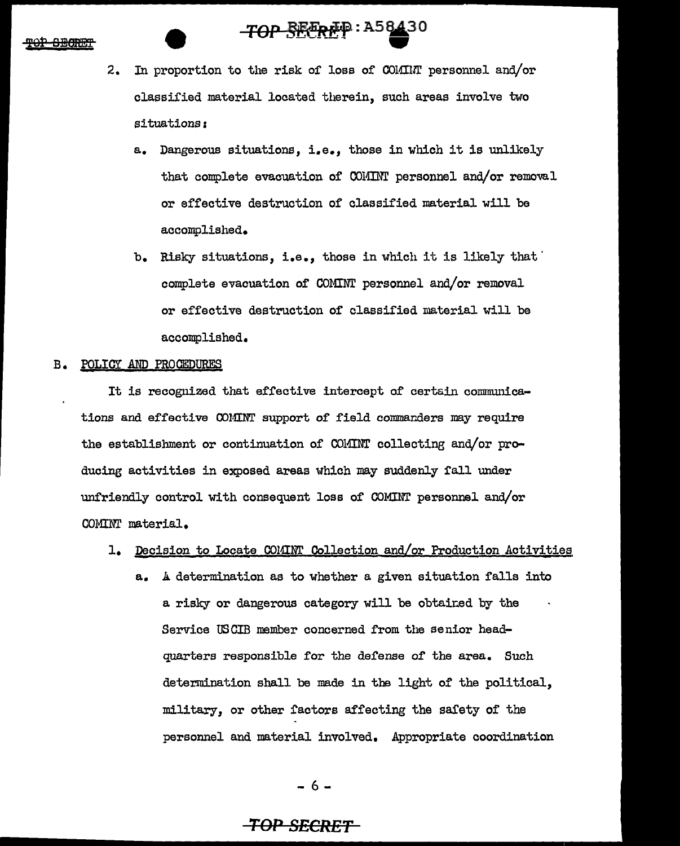## TOP SEEREP: A58430

- 2. In proportion to the risk of loss of COlfillr personnel and/or classified material located therein, such areas involve two situations:
	- a. Dangerous situations, i.e., those in which it is unlikely that complete evacuation of COMINT personnel and/or removal or effective destruction of classified material will be accomplished.
	- b. Risky situations, i.e., those in which it is likely that complete evacuation of COMINT personnel and/or removal or effective destruction of classified material will be accomplished.

### B. POLICY AND PROCEDURES

It is recognized that effective intercept of certain communications and effective COMINT support of field commanders may require the establishment or continuation of COMINT collecting and/or producing activities in exposed areas which may suddenly fall under unfriendly control with consequent loss of COMINT personnel and/or COMINT material.

### 1. Decision to Locate COMINT Collection and/or Production Activities

a. A determination as to whether a given situation falls into a risky or dangerous category will be obtained by the Service USCIB member concerned from the senior headquarters responsible for the defense of the area. Such determination shall be made in the light of the political, military, or other factors affecting the safety of the personnel and material involved. Appropriate coordination

- 6-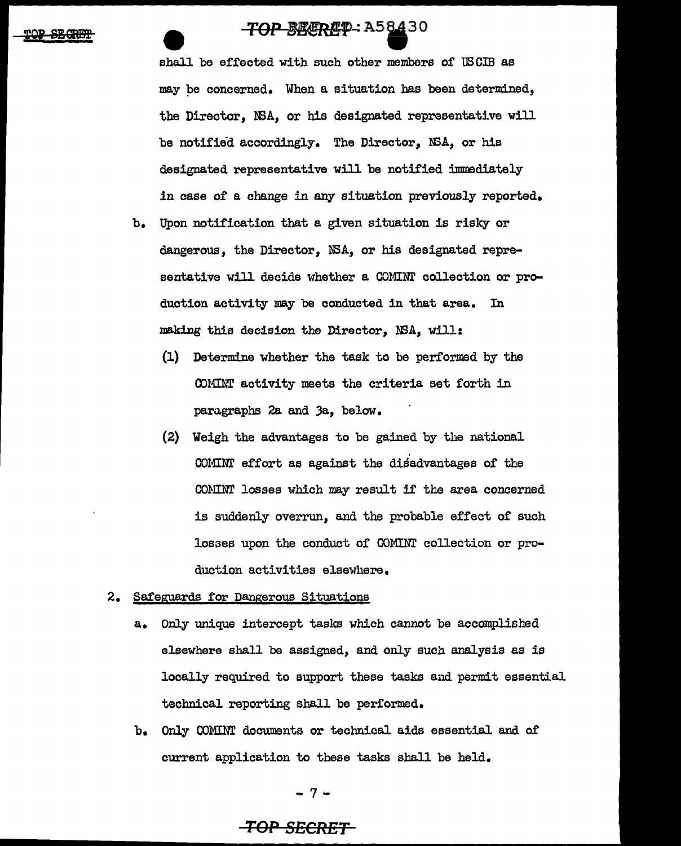**TOP BEEREQ.** A58430<br>shall be effected with such other members of USCIB as may pe concerned. When a situation has been determined, the Director, NSA, or his designated representative will be notified accordingly. The Director, NSA, or his designated representative will be notified immediately in case of a change in any situation previously reported.

- b. Upon notification that a given situation is risky or dangerous, the Director, NSA, or his designated representative will decide whether a COMINT collection or production activity may be conducted in that area. In making this decision the Director, NSA, will:
	- (1) Determine whether the task to be performed by the COMINT activity meets the criteria set forth in paragraphs 2a and Ja, below.
	- (2) Weigh the advantages to be gained by the national COMINT effort as against the disadvantages of the COMINT losses which may result if the area concerned is suddenly overrun, and the probable effect of such losses upon the conduct of COMINT collection or production activities elsewhere.
- 2. Safeguards for Dangerous Situations
	- a. Only unique intercept tasks which cannot be accomplished elsewhere shall be assigned, and only such analysis as is locally required to support these tasks and permit essential technical reporting shall be performed.
	- b. Only OOMINT documents or technical aids essential and of current application to these tasks shall be held.

-7-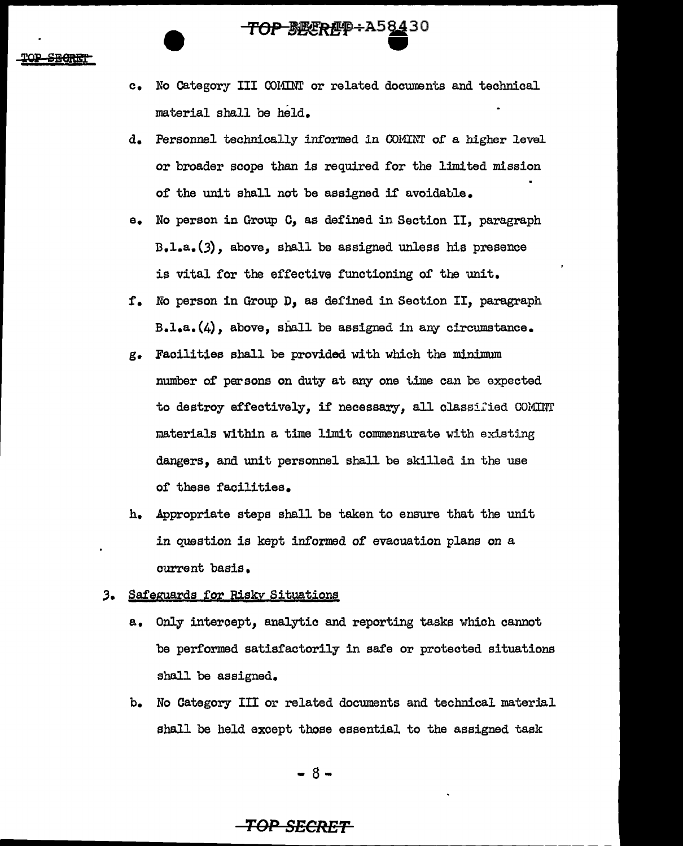c. No Category III COMINT or related documents and technical material shall be held.

*TOP BEERE***P** + A58430

- d. Personnel technically informed in COMINT of a higher level or broader scope than is required for the limited mission of the unit shall not be assigned if avoidable.
- e. No person in Group C, as defined in Section II, paragraph D.l.a.(J), above, shall be assigned unless his presence is vital for the effective functioning of the unit.
- !. No person in Group D, as defined in Section II, paragraph B.l.a.(4), above, shall be assigned in any circumstance.
- g. Facilities shall be provided with which the minimum number of' persons on duty at any one time can be expected to destroy effectively, if necessary, all classified COMINT materials within a time limit commensurate with existing dangers, and unit personnel shall be skilled in the use of these facilities.
- h. Appropriate steps shall be taken to ensure that the unit in question is kept informed of evacuation plans on a current basis.

### *3.* Safeguards for Risky Situations

- a. Only intercept, analytic and reporting tasks which cannot be performed satisfactorily in safe or protected situations shall be assigned.
- b. No Category III or related documents and technical material shall be held except those essential to the assigned task

- 8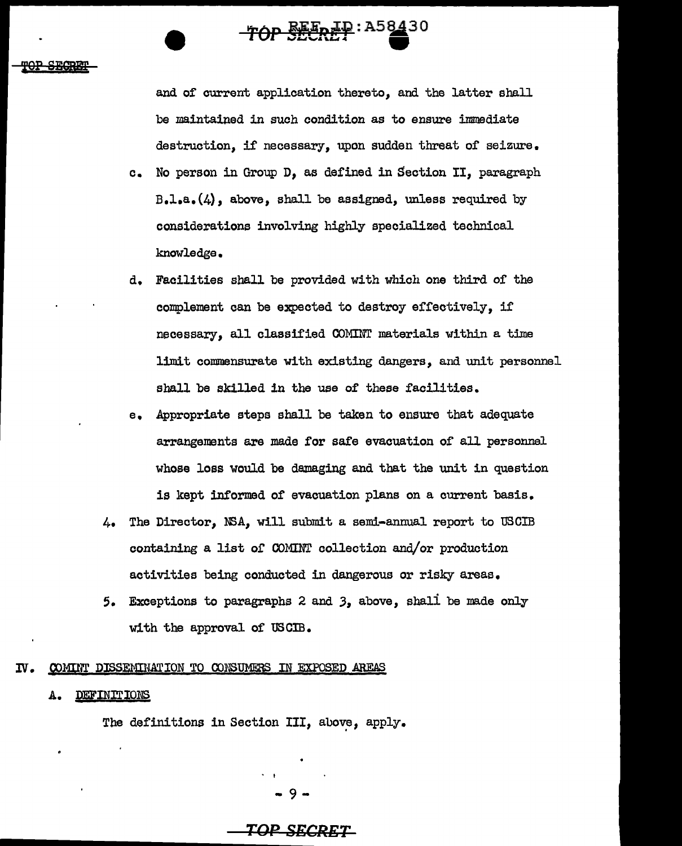**'fOP S§P** 

and of current application thereto, and the latter shall be maintained in such condition as to ensure immediate destruction, if necessary, upon sudden threat of seizure.

TOP SEEREP: A58430

- c. No person in Group D, as defined in Section II, paragraph  $B.1. a. (4)$ , above, shall be assigned, unless required by considerations involving highly specialized technical knowledge.
- d. Facilities shall be provided with which one third of the complement can be expected to destroy effectively, if necessary, all classified COMINT materials within a time limit commensurate with existing dangers, ard unit personnel shall be skilled in the use of these facilities.
- e. Appropriate steps shall be taken to ensure that adequate arrangements are made for safe evacuation of all personnel whose loss would be damaging and that the unit in question is kept informed of evacuation plans on a current basis.
- 4. The Director, NSA, will submit a semi-annual report to USCIB containing a list or COMINT collection and/or production activities being conducted in dangerous or risky areas.
- 5. Exceptions to paragraphs 2 and *3,* above, shali be made only with the approval of USCIB.

### IV. COMINT DISSEMINATION TO CONSUMERS IN EXPOSED AREAS

### A. DEFINITIONS

The definitions in Section III, above, apply.

9-

### **TOP Sl!:CRET**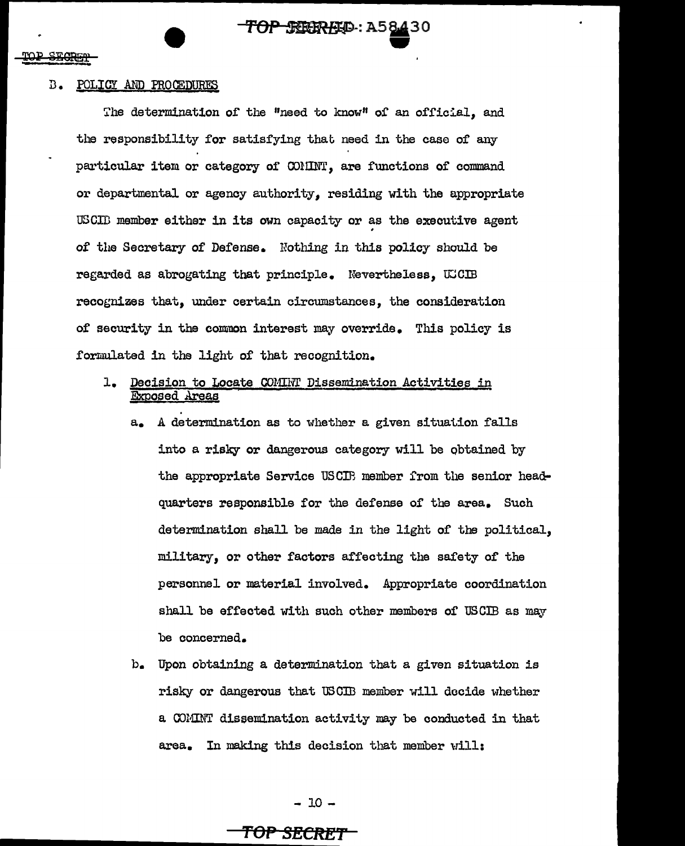### B. POLICY AND PROCEDURES

The determination of the "need to know" of an official, and the responsibility for satisfying that need in the case of any particular item or category of COMINT, are functions of command or departmental or agency authority, residing with the appropriate USCII member either in its own capacity or as the executive agent of the Secretary of Defense. Nothing in this policy should be regarded as abrogating that principle. Nevertheless, UCCIB recognizes that, under certain circumstances, the consideration of security in the common interest may override. This policy is formulated in the light of that recognition.

**TOP SEEREED: A58430** 

**243** 

- 1. Decision to Locate CONIHT Dissemination Activities in Exposed Areas
	- a. A determination as to whether a given situation falls into a risky or dangerous category will be obtained by the appropriate Service USCIB member from the senior headquarters responsible for the defense of the area. Such determination shall be made in the light of the political, military, or other factors affecting the safety of the personnel or material involved. Appropriate coordination shall be effected with such other members of USCIB as may be concerned.
	- b. Upon obtaining a determination that a given situation is risky or dangerous that USCIB member will decide whether a COMINT dissemination activity may be conducted in that area. In making this decision that member will:

- 10-

### **TOP St!!CRET**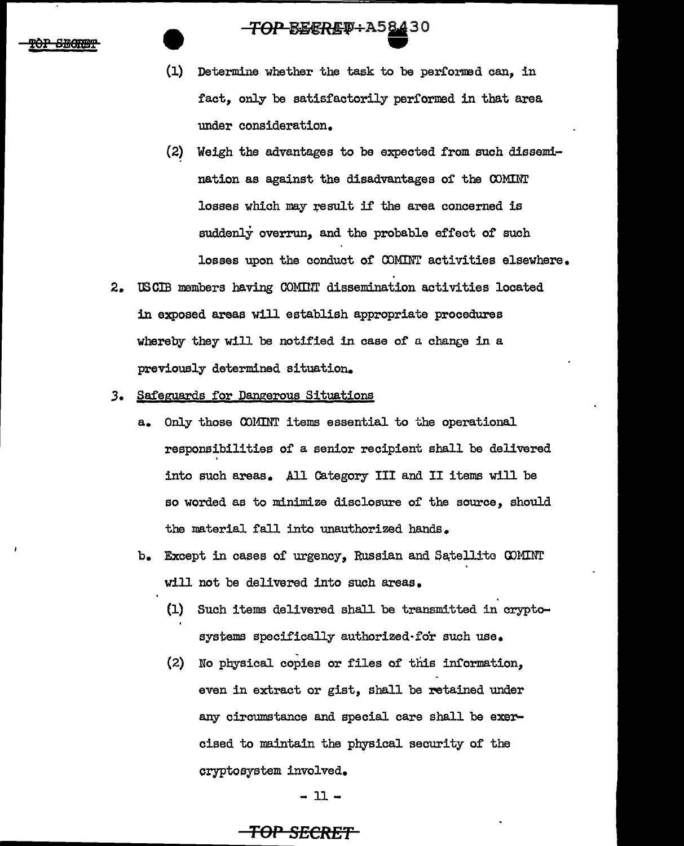### <del>TOP BECREV :</del> A58430

- $(1)$ Determine whether the task to be performed can. in fact, only be satisfactorily performed in that area under consideration.
- $(2)$ Weigh the advantages to be expected from such dissemination as against the disadvantages of the COMINT losses which may result if the area concerned is suddenly overrun, and the probable effect of such losses upon the conduct of COMINT activities elsewhere.
- USCIB members having COMINT dissemination activities located  $2$ in exposed areas will establish appropriate procedures whereby they will be notified in case of a change in a previously determined situation.
- Safeguards for Dangerous Situations  $3.$ 
	- a. Only those COMINT items essential to the operational responsibilities of a senior recipient shall be delivered into such areas. All Category III and II items will be so worded as to minimize disclosure of the source, should the material fall into unauthorized hands.
	- b. Except in cases of urgency. Russian and Satellite COMINT will not be delivered into such areas.
		- $(1)$ Such items delivered shall be transmitted in cryptosystems specifically authorized for such use.
		- (2) No physical copies or files of this information. even in extract or gist, shall be retained under any circumstance and special care shall be exercised to maintain the physical security of the cryptosystem involved.

 $-11-$ 

### <del>TOP SECRET</del>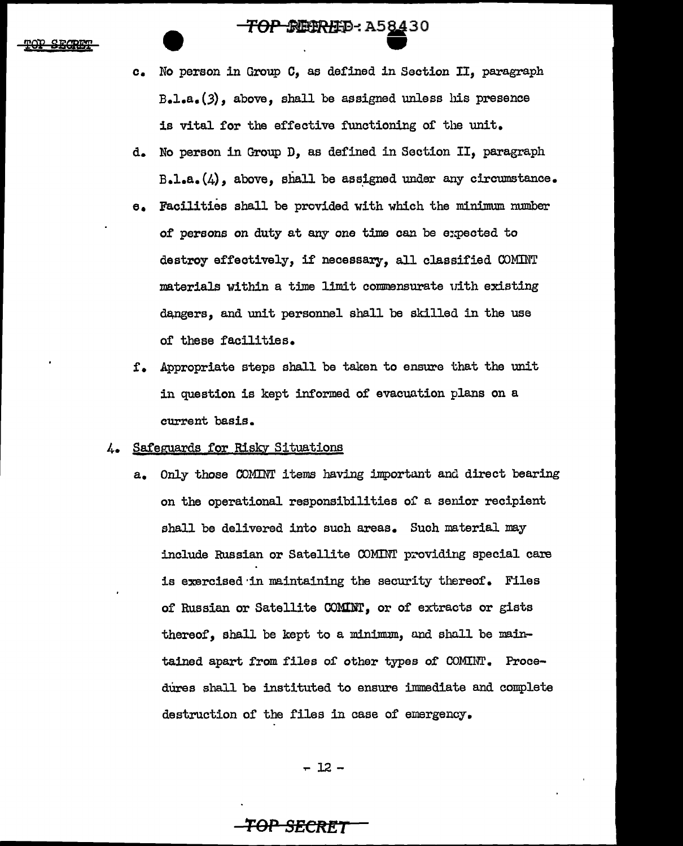**TOP SEERED : A58430** 

- c. No person in Group c, as defined in Section II, paragraph  $B<sub>a</sub>l<sub>a</sub>(3)$ , above, shall be assigned unless his presence is vital for the effective functioning of the unit.
- d. No person in Group D, as defined in Section II, paragraph  $B - l - a$ . $(4)$ , above, shall be assigned under any circumstance.
- e. Facilities shall be provided with which the minimum number of persons on duty at any one time can be expected to destroy effectively, if necessary, all classified COMINT materials within a time limit commensurate uith existing dangers, and unit personnel shall be skilled in the use of these facilities.
- f. Appropriate steps shall be taken to ensure that the unit in question is kept informed of evacuation plans on a current basis.

### 4. Safeguards for Risky Situations

a. Only those COMINT items having important and direct bearing on the operational responsibilities of a senior recipient shall be delivered into such areas. Such material may include Russian or Satellite COMINT providing special care is exercised ·in maintaining the security thereof. Files of Russian or Satellite COMINT, or of extracts or gists thereof, shall be kept to a minimum, and shall be maintained apart from files of other types of COMINT. Procedures shall be instituted to ensure immediate and complete destruction of the files in case of emergency.

..-12-

### *TOP* **SECftl!T**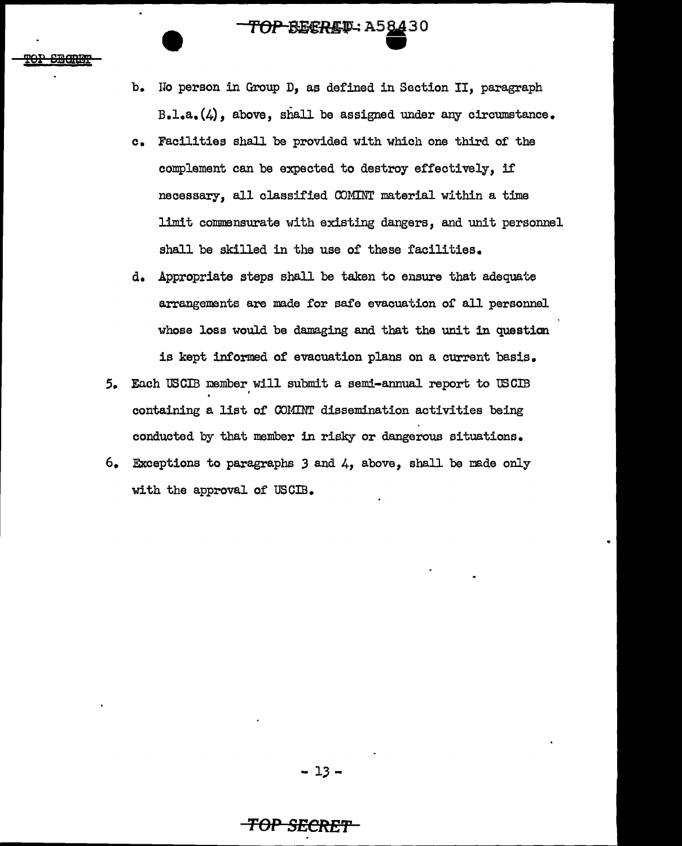# **TOP-BECRET: A58430**

- b. No person in Group D, as defined in Section II, paragraph B.l.a.(4), above, shall be assigned under any circumstance.
- c. Facilities shall be provided with which one third of the complement can be expected to destroy effectively, if necessary, all classified COMINT material within a time limit commensurate with existing dangers, and unit personnel shall be skilled in the use of these facilities.
- d. Appropriate steps shall be taken to ensure that adequate arrangements are made for safe evacuation or all personnel whose loss would be damaging and that the unit in question is kept informed of evacuation plans on a current basis.
- 5. Each USCIB member will submit a semi-annual report to USCIB .<br>containing a list of COMINT dissemination activities being conducted by that member in risky or dangerous situations.
- 6. Exceptions to paragraphs 3 and 4, above, shall be made only with the approval of USCIB.

### **TOP SECRfi'f'**